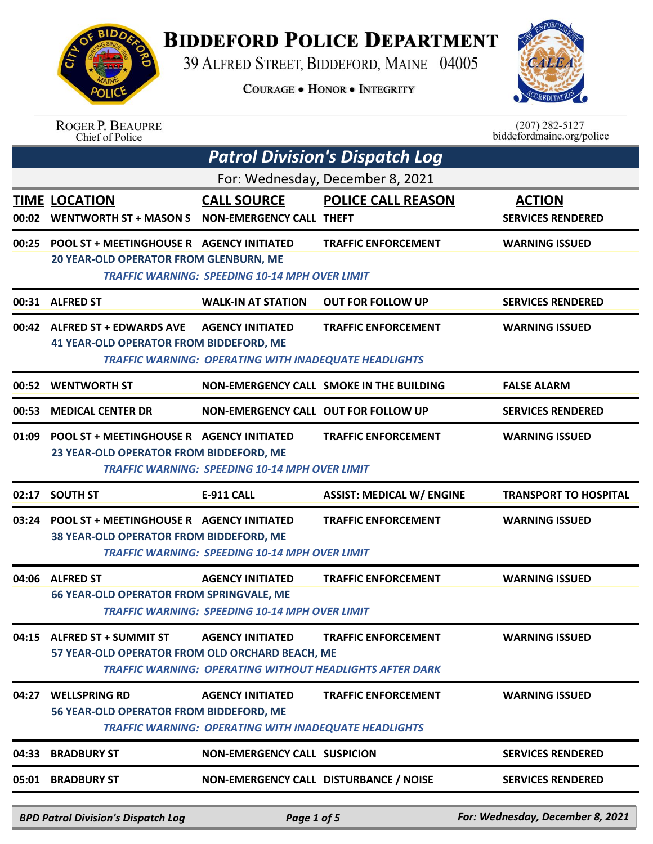

## **BIDDEFORD POLICE DEPARTMENT**

39 ALFRED STREET, BIDDEFORD, MAINE 04005

**COURAGE . HONOR . INTEGRITY** 



| <b>ROGER P. BEAUPRE</b> |
|-------------------------|
| Chief of Police         |

 $(207)$  282-5127<br>biddefordmaine.org/police

|       | <b>Patrol Division's Dispatch Log</b>                                                             |                                                                                  |                                                                                               |                                           |  |  |
|-------|---------------------------------------------------------------------------------------------------|----------------------------------------------------------------------------------|-----------------------------------------------------------------------------------------------|-------------------------------------------|--|--|
|       | For: Wednesday, December 8, 2021                                                                  |                                                                                  |                                                                                               |                                           |  |  |
|       | <b>TIME LOCATION</b><br>00:02 WENTWORTH ST + MASON S  NON-EMERGENCY CALL THEFT                    | <b>CALL SOURCE</b>                                                               | <b>POLICE CALL REASON</b>                                                                     | <b>ACTION</b><br><b>SERVICES RENDERED</b> |  |  |
| 00:25 | <b>POOL ST + MEETINGHOUSE R AGENCY INITIATED</b><br><b>20 YEAR-OLD OPERATOR FROM GLENBURN, ME</b> | <b>TRAFFIC WARNING: SPEEDING 10-14 MPH OVER LIMIT</b>                            | <b>TRAFFIC ENFORCEMENT</b>                                                                    | <b>WARNING ISSUED</b>                     |  |  |
|       | 00:31 ALFRED ST                                                                                   | <b>WALK-IN AT STATION</b>                                                        | <b>OUT FOR FOLLOW UP</b>                                                                      | <b>SERVICES RENDERED</b>                  |  |  |
|       | 00:42 ALFRED ST + EDWARDS AVE<br><b>41 YEAR-OLD OPERATOR FROM BIDDEFORD, ME</b>                   | <b>AGENCY INITIATED</b><br>TRAFFIC WARNING: OPERATING WITH INADEQUATE HEADLIGHTS | <b>TRAFFIC ENFORCEMENT</b>                                                                    | <b>WARNING ISSUED</b>                     |  |  |
|       | 00:52 WENTWORTH ST                                                                                |                                                                                  | NON-EMERGENCY CALL SMOKE IN THE BUILDING                                                      | <b>FALSE ALARM</b>                        |  |  |
| 00:53 | <b>MEDICAL CENTER DR</b>                                                                          | NON-EMERGENCY CALL OUT FOR FOLLOW UP                                             |                                                                                               | <b>SERVICES RENDERED</b>                  |  |  |
| 01:09 | <b>POOL ST + MEETINGHOUSE R AGENCY INITIATED</b><br>23 YEAR-OLD OPERATOR FROM BIDDEFORD, ME       | <b>TRAFFIC WARNING: SPEEDING 10-14 MPH OVER LIMIT</b>                            | <b>TRAFFIC ENFORCEMENT</b>                                                                    | <b>WARNING ISSUED</b>                     |  |  |
| 02:17 | <b>SOUTH ST</b>                                                                                   | <b>E-911 CALL</b>                                                                | <b>ASSIST: MEDICAL W/ ENGINE</b>                                                              | <b>TRANSPORT TO HOSPITAL</b>              |  |  |
| 03:24 | <b>POOL ST + MEETINGHOUSE R AGENCY INITIATED</b><br>38 YEAR-OLD OPERATOR FROM BIDDEFORD, ME       | <b>TRAFFIC WARNING: SPEEDING 10-14 MPH OVER LIMIT</b>                            | <b>TRAFFIC ENFORCEMENT</b>                                                                    | <b>WARNING ISSUED</b>                     |  |  |
|       | 04:06 ALFRED ST<br><b>66 YEAR-OLD OPERATOR FROM SPRINGVALE, ME</b>                                | <b>AGENCY INITIATED</b><br><b>TRAFFIC WARNING: SPEEDING 10-14 MPH OVER LIMIT</b> | <b>TRAFFIC ENFORCEMENT</b>                                                                    | <b>WARNING ISSUED</b>                     |  |  |
|       | 04:15 ALFRED ST + SUMMIT ST<br>57 YEAR-OLD OPERATOR FROM OLD ORCHARD BEACH, ME                    | <b>AGENCY INITIATED</b>                                                          | <b>TRAFFIC ENFORCEMENT</b><br><b>TRAFFIC WARNING: OPERATING WITHOUT HEADLIGHTS AFTER DARK</b> | <b>WARNING ISSUED</b>                     |  |  |
| 04:27 | <b>WELLSPRING RD</b><br>56 YEAR-OLD OPERATOR FROM BIDDEFORD, ME                                   | <b>AGENCY INITIATED</b><br>TRAFFIC WARNING: OPERATING WITH INADEQUATE HEADLIGHTS | <b>TRAFFIC ENFORCEMENT</b>                                                                    | <b>WARNING ISSUED</b>                     |  |  |
| 04:33 | <b>BRADBURY ST</b>                                                                                | <b>NON-EMERGENCY CALL SUSPICION</b>                                              |                                                                                               | <b>SERVICES RENDERED</b>                  |  |  |
| 05:01 | <b>BRADBURY ST</b>                                                                                | NON-EMERGENCY CALL DISTURBANCE / NOISE                                           |                                                                                               | <b>SERVICES RENDERED</b>                  |  |  |
|       | <b>BPD Patrol Division's Dispatch Log</b>                                                         | Page 1 of 5                                                                      |                                                                                               | For: Wednesday, December 8, 2021          |  |  |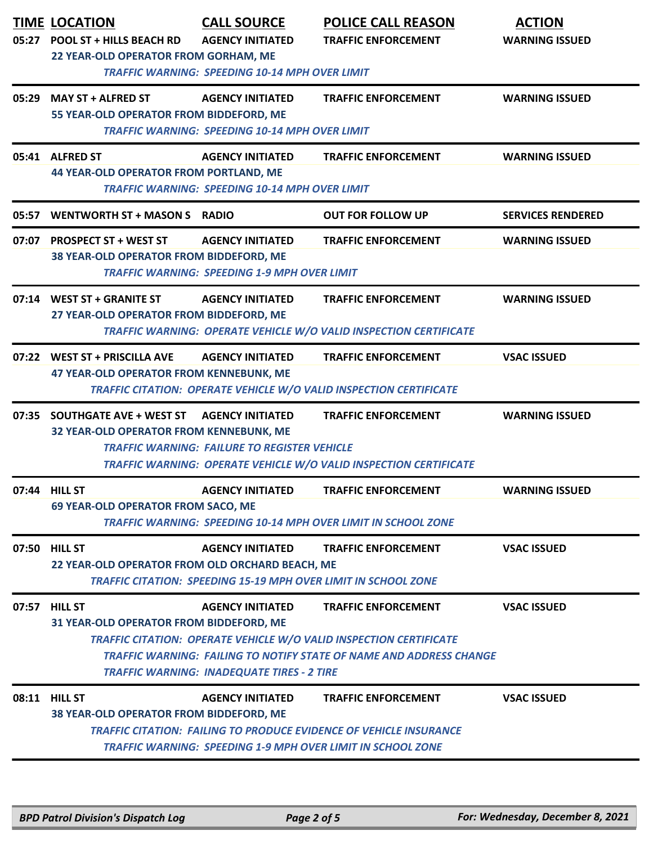|       | <b>TIME LOCATION</b><br>05:27 POOL ST + HILLS BEACH RD                                        | <b>CALL SOURCE</b><br><b>AGENCY INITIATED</b>                                    | <b>POLICE CALL REASON</b><br><b>TRAFFIC ENFORCEMENT</b>                                                                                                                               | <b>ACTION</b><br><b>WARNING ISSUED</b> |  |
|-------|-----------------------------------------------------------------------------------------------|----------------------------------------------------------------------------------|---------------------------------------------------------------------------------------------------------------------------------------------------------------------------------------|----------------------------------------|--|
|       | 22 YEAR-OLD OPERATOR FROM GORHAM, ME<br><b>TRAFFIC WARNING: SPEEDING 10-14 MPH OVER LIMIT</b> |                                                                                  |                                                                                                                                                                                       |                                        |  |
|       | 05:29 MAY ST + ALFRED ST<br>55 YEAR-OLD OPERATOR FROM BIDDEFORD, ME                           | <b>AGENCY INITIATED</b>                                                          | <b>TRAFFIC ENFORCEMENT</b>                                                                                                                                                            | <b>WARNING ISSUED</b>                  |  |
|       | <b>TRAFFIC WARNING: SPEEDING 10-14 MPH OVER LIMIT</b>                                         |                                                                                  |                                                                                                                                                                                       |                                        |  |
|       | 05:41 ALFRED ST<br><b>44 YEAR-OLD OPERATOR FROM PORTLAND, ME</b>                              | <b>AGENCY INITIATED</b><br><b>TRAFFIC WARNING: SPEEDING 10-14 MPH OVER LIMIT</b> | <b>TRAFFIC ENFORCEMENT</b>                                                                                                                                                            | <b>WARNING ISSUED</b>                  |  |
| 05:57 | WENTWORTH ST + MASON S RADIO                                                                  |                                                                                  | <b>OUT FOR FOLLOW UP</b>                                                                                                                                                              | <b>SERVICES RENDERED</b>               |  |
|       | 07:07 PROSPECT ST + WEST ST<br>38 YEAR-OLD OPERATOR FROM BIDDEFORD, ME                        | <b>AGENCY INITIATED</b><br><b>TRAFFIC WARNING: SPEEDING 1-9 MPH OVER LIMIT</b>   | <b>TRAFFIC ENFORCEMENT</b>                                                                                                                                                            | <b>WARNING ISSUED</b>                  |  |
|       | 07:14 WEST ST + GRANITE ST<br>27 YEAR-OLD OPERATOR FROM BIDDEFORD, ME                         | <b>AGENCY INITIATED</b>                                                          | <b>TRAFFIC ENFORCEMENT</b><br>TRAFFIC WARNING: OPERATE VEHICLE W/O VALID INSPECTION CERTIFICATE                                                                                       | <b>WARNING ISSUED</b>                  |  |
|       | 07:22 WEST ST + PRISCILLA AVE<br>47 YEAR-OLD OPERATOR FROM KENNEBUNK, ME                      | <b>AGENCY INITIATED</b>                                                          | <b>TRAFFIC ENFORCEMENT</b><br>TRAFFIC CITATION: OPERATE VEHICLE W/O VALID INSPECTION CERTIFICATE                                                                                      | <b>VSAC ISSUED</b>                     |  |
|       | 07:35 SOUTHGATE AVE + WEST ST<br>32 YEAR-OLD OPERATOR FROM KENNEBUNK, ME                      | <b>AGENCY INITIATED</b><br><b>TRAFFIC WARNING: FAILURE TO REGISTER VEHICLE</b>   | <b>TRAFFIC ENFORCEMENT</b><br>TRAFFIC WARNING: OPERATE VEHICLE W/O VALID INSPECTION CERTIFICATE                                                                                       | <b>WARNING ISSUED</b>                  |  |
|       | 07:44 HILL ST<br><b>69 YEAR-OLD OPERATOR FROM SACO, ME</b>                                    | <b>AGENCY INITIATED</b>                                                          | <b>TRAFFIC ENFORCEMENT</b><br><b>TRAFFIC WARNING: SPEEDING 10-14 MPH OVER LIMIT IN SCHOOL ZONE</b>                                                                                    | <b>WARNING ISSUED</b>                  |  |
|       | 07:50 HILL ST<br>22 YEAR-OLD OPERATOR FROM OLD ORCHARD BEACH, ME                              | <b>AGENCY INITIATED</b>                                                          | <b>TRAFFIC ENFORCEMENT</b><br><b>TRAFFIC CITATION: SPEEDING 15-19 MPH OVER LIMIT IN SCHOOL ZONE</b>                                                                                   | <b>VSAC ISSUED</b>                     |  |
|       | 07:57 HILL ST<br>31 YEAR-OLD OPERATOR FROM BIDDEFORD, ME                                      | <b>AGENCY INITIATED</b><br><b>TRAFFIC WARNING: INADEQUATE TIRES - 2 TIRE</b>     | <b>TRAFFIC ENFORCEMENT</b><br><b>TRAFFIC CITATION: OPERATE VEHICLE W/O VALID INSPECTION CERTIFICATE</b><br><b>TRAFFIC WARNING: FAILING TO NOTIFY STATE OF NAME AND ADDRESS CHANGE</b> | <b>VSAC ISSUED</b>                     |  |
|       | 08:11 HILL ST<br>38 YEAR-OLD OPERATOR FROM BIDDEFORD, ME                                      | <b>AGENCY INITIATED</b>                                                          | <b>TRAFFIC ENFORCEMENT</b><br><b>TRAFFIC CITATION: FAILING TO PRODUCE EVIDENCE OF VEHICLE INSURANCE</b><br><b>TRAFFIC WARNING: SPEEDING 1-9 MPH OVER LIMIT IN SCHOOL ZONE</b>         | <b>VSAC ISSUED</b>                     |  |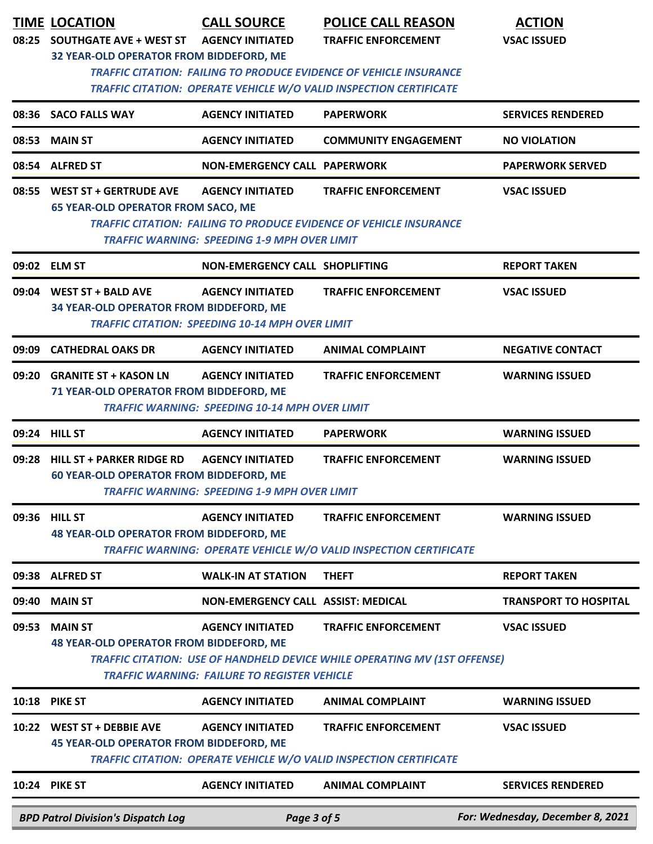|       | <b>TIME LOCATION</b><br>08:25 SOUTHGATE AVE + WEST ST                                                                                                                                      | <b>CALL SOURCE</b><br><b>AGENCY INITIATED</b>                                     | <b>POLICE CALL REASON</b><br><b>TRAFFIC ENFORCEMENT</b>                                                        | <b>ACTION</b><br><b>VSAC ISSUED</b> |  |  |
|-------|--------------------------------------------------------------------------------------------------------------------------------------------------------------------------------------------|-----------------------------------------------------------------------------------|----------------------------------------------------------------------------------------------------------------|-------------------------------------|--|--|
|       | 32 YEAR-OLD OPERATOR FROM BIDDEFORD, ME<br><b>TRAFFIC CITATION: FAILING TO PRODUCE EVIDENCE OF VEHICLE INSURANCE</b><br>TRAFFIC CITATION: OPERATE VEHICLE W/O VALID INSPECTION CERTIFICATE |                                                                                   |                                                                                                                |                                     |  |  |
|       | 08:36 SACO FALLS WAY                                                                                                                                                                       | <b>AGENCY INITIATED</b>                                                           | <b>PAPERWORK</b>                                                                                               | <b>SERVICES RENDERED</b>            |  |  |
|       | 08:53 MAIN ST                                                                                                                                                                              | <b>AGENCY INITIATED</b>                                                           | <b>COMMUNITY ENGAGEMENT</b>                                                                                    | <b>NO VIOLATION</b>                 |  |  |
|       | 08:54 ALFRED ST                                                                                                                                                                            | <b>NON-EMERGENCY CALL PAPERWORK</b>                                               |                                                                                                                | <b>PAPERWORK SERVED</b>             |  |  |
|       | 08:55 WEST ST + GERTRUDE AVE<br><b>65 YEAR-OLD OPERATOR FROM SACO, ME</b>                                                                                                                  | <b>AGENCY INITIATED</b><br><b>TRAFFIC WARNING: SPEEDING 1-9 MPH OVER LIMIT</b>    | <b>TRAFFIC ENFORCEMENT</b><br><b>TRAFFIC CITATION: FAILING TO PRODUCE EVIDENCE OF VEHICLE INSURANCE</b>        | <b>VSAC ISSUED</b>                  |  |  |
|       | 09:02 ELM ST                                                                                                                                                                               | NON-EMERGENCY CALL SHOPLIFTING                                                    |                                                                                                                | <b>REPORT TAKEN</b>                 |  |  |
|       | 09:04 WEST ST + BALD AVE<br>34 YEAR-OLD OPERATOR FROM BIDDEFORD, ME                                                                                                                        | <b>AGENCY INITIATED</b><br><b>TRAFFIC CITATION: SPEEDING 10-14 MPH OVER LIMIT</b> | <b>TRAFFIC ENFORCEMENT</b>                                                                                     | <b>VSAC ISSUED</b>                  |  |  |
| 09:09 | <b>CATHEDRAL OAKS DR</b>                                                                                                                                                                   | <b>AGENCY INITIATED</b>                                                           | <b>ANIMAL COMPLAINT</b>                                                                                        | <b>NEGATIVE CONTACT</b>             |  |  |
|       | 09:20 GRANITE ST + KASON LN<br>71 YEAR-OLD OPERATOR FROM BIDDEFORD, ME                                                                                                                     | <b>AGENCY INITIATED</b><br><b>TRAFFIC WARNING: SPEEDING 10-14 MPH OVER LIMIT</b>  | <b>TRAFFIC ENFORCEMENT</b>                                                                                     | <b>WARNING ISSUED</b>               |  |  |
|       | 09:24 HILL ST                                                                                                                                                                              | <b>AGENCY INITIATED</b>                                                           | <b>PAPERWORK</b>                                                                                               | <b>WARNING ISSUED</b>               |  |  |
|       | 09:28 HILL ST + PARKER RIDGE RD<br><b>60 YEAR-OLD OPERATOR FROM BIDDEFORD, ME</b>                                                                                                          | <b>AGENCY INITIATED</b><br>TRAFFIC WARNING: SPEEDING 1-9 MPH OVER LIMIT           | <b>TRAFFIC ENFORCEMENT</b>                                                                                     | <b>WARNING ISSUED</b>               |  |  |
| 09:36 | <b>HILL ST</b><br><b>48 YEAR-OLD OPERATOR FROM BIDDEFORD, ME</b>                                                                                                                           | <b>AGENCY INITIATED</b>                                                           | <b>TRAFFIC ENFORCEMENT</b><br>TRAFFIC WARNING: OPERATE VEHICLE W/O VALID INSPECTION CERTIFICATE                | <b>WARNING ISSUED</b>               |  |  |
| 09:38 | <b>ALFRED ST</b>                                                                                                                                                                           | <b>WALK-IN AT STATION</b>                                                         | <b>THEFT</b>                                                                                                   | <b>REPORT TAKEN</b>                 |  |  |
| 09:40 | <b>MAIN ST</b>                                                                                                                                                                             | NON-EMERGENCY CALL ASSIST: MEDICAL                                                |                                                                                                                | <b>TRANSPORT TO HOSPITAL</b>        |  |  |
| 09:53 | <b>MAIN ST</b><br><b>48 YEAR-OLD OPERATOR FROM BIDDEFORD, ME</b>                                                                                                                           | <b>AGENCY INITIATED</b><br><b>TRAFFIC WARNING: FAILURE TO REGISTER VEHICLE</b>    | <b>TRAFFIC ENFORCEMENT</b><br><b>TRAFFIC CITATION: USE OF HANDHELD DEVICE WHILE OPERATING MV (1ST OFFENSE)</b> | <b>VSAC ISSUED</b>                  |  |  |
| 10:18 | <b>PIKE ST</b>                                                                                                                                                                             | <b>AGENCY INITIATED</b>                                                           | <b>ANIMAL COMPLAINT</b>                                                                                        | <b>WARNING ISSUED</b>               |  |  |
|       | 10:22 WEST ST + DEBBIE AVE<br><b>45 YEAR-OLD OPERATOR FROM BIDDEFORD, ME</b>                                                                                                               | <b>AGENCY INITIATED</b>                                                           | <b>TRAFFIC ENFORCEMENT</b><br><b>TRAFFIC CITATION: OPERATE VEHICLE W/O VALID INSPECTION CERTIFICATE</b>        | <b>VSAC ISSUED</b>                  |  |  |
|       | 10:24 PIKE ST                                                                                                                                                                              | <b>AGENCY INITIATED</b>                                                           | <b>ANIMAL COMPLAINT</b>                                                                                        | <b>SERVICES RENDERED</b>            |  |  |
|       | <b>BPD Patrol Division's Dispatch Log</b>                                                                                                                                                  | Page 3 of 5                                                                       |                                                                                                                | For: Wednesday, December 8, 2021    |  |  |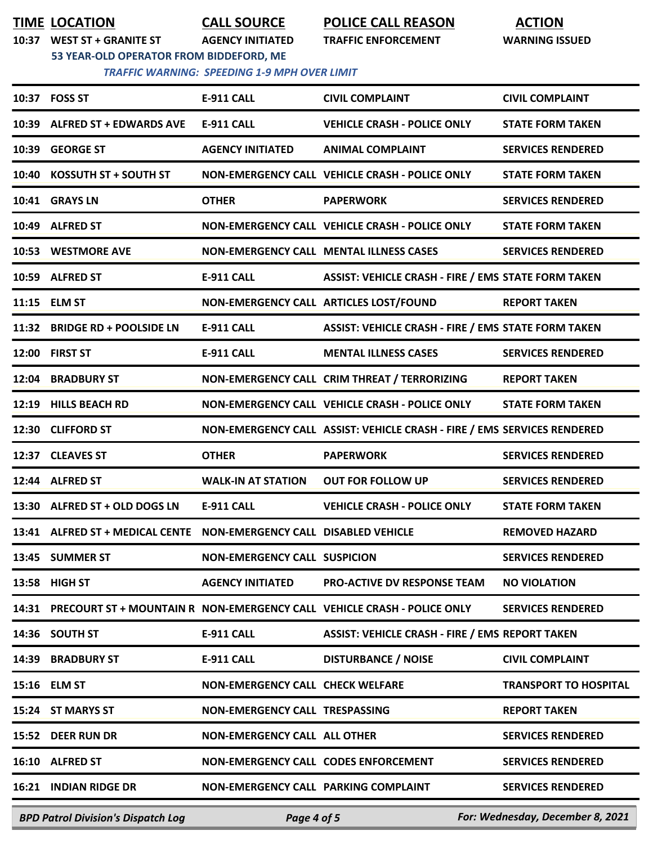**TIME LOCATION CALL SOURCE POLICE CALL REASON ACTION**

**10:37 WEST ST + GRANITE ST AGENCY INITIATED TRAFFIC ENFORCEMENT WARNING ISSUED**

**53 YEAR-OLD OPERATOR FROM BIDDEFORD, ME**

| <b>TRAFFIC WARNING: SPEEDING 1-9 MPH OVER LIMIT</b> |  |  |
|-----------------------------------------------------|--|--|
|-----------------------------------------------------|--|--|

|       | <b>BPD Patrol Division's Dispatch Log</b>                                 | Page 4 of 5                             |                                                                               | For: Wednesday, December 8, 2021 |
|-------|---------------------------------------------------------------------------|-----------------------------------------|-------------------------------------------------------------------------------|----------------------------------|
|       | <b>16:21 INDIAN RIDGE DR</b>                                              | NON-EMERGENCY CALL PARKING COMPLAINT    |                                                                               | <b>SERVICES RENDERED</b>         |
|       | 16:10 ALFRED ST                                                           | NON-EMERGENCY CALL CODES ENFORCEMENT    |                                                                               | <b>SERVICES RENDERED</b>         |
|       | 15:52 DEER RUN DR                                                         | <b>NON-EMERGENCY CALL ALL OTHER</b>     |                                                                               | <b>SERVICES RENDERED</b>         |
|       | 15:24 ST MARYS ST                                                         | NON-EMERGENCY CALL TRESPASSING          |                                                                               | <b>REPORT TAKEN</b>              |
|       | 15:16 ELM ST                                                              | <b>NON-EMERGENCY CALL CHECK WELFARE</b> |                                                                               | <b>TRANSPORT TO HOSPITAL</b>     |
| 14:39 | <b>BRADBURY ST</b>                                                        | E-911 CALL                              | <b>DISTURBANCE / NOISE</b>                                                    | <b>CIVIL COMPLAINT</b>           |
|       | 14:36 SOUTH ST                                                            | E-911 CALL                              | <b>ASSIST: VEHICLE CRASH - FIRE / EMS REPORT TAKEN</b>                        |                                  |
|       |                                                                           |                                         | 14:31 PRECOURT ST + MOUNTAIN R NON-EMERGENCY CALL VEHICLE CRASH - POLICE ONLY | <b>SERVICES RENDERED</b>         |
|       | 13:58 HIGH ST                                                             | <b>AGENCY INITIATED</b>                 | <b>PRO-ACTIVE DV RESPONSE TEAM</b>                                            | <b>NO VIOLATION</b>              |
|       | 13:45 SUMMER ST                                                           | <b>NON-EMERGENCY CALL SUSPICION</b>     |                                                                               | <b>SERVICES RENDERED</b>         |
|       | 13:41 ALFRED ST + MEDICAL CENTE    NON-EMERGENCY CALL    DISABLED VEHICLE |                                         |                                                                               | <b>REMOVED HAZARD</b>            |
|       | 13:30 ALFRED ST + OLD DOGS LN                                             | <b>E-911 CALL</b>                       | <b>VEHICLE CRASH - POLICE ONLY</b>                                            | <b>STATE FORM TAKEN</b>          |
|       | 12:44 ALFRED ST                                                           | <b>WALK-IN AT STATION</b>               | <b>OUT FOR FOLLOW UP</b>                                                      | <b>SERVICES RENDERED</b>         |
|       | 12:37 CLEAVES ST                                                          | <b>OTHER</b>                            | <b>PAPERWORK</b>                                                              | <b>SERVICES RENDERED</b>         |
|       | 12:30 CLIFFORD ST                                                         |                                         | NON-EMERGENCY CALL ASSIST: VEHICLE CRASH - FIRE / EMS SERVICES RENDERED       |                                  |
|       | 12:19 HILLS BEACH RD                                                      |                                         | NON-EMERGENCY CALL VEHICLE CRASH - POLICE ONLY                                | <b>STATE FORM TAKEN</b>          |
|       | 12:04 BRADBURY ST                                                         |                                         | NON-EMERGENCY CALL CRIM THREAT / TERRORIZING                                  | <b>REPORT TAKEN</b>              |
|       | 12:00 FIRST ST                                                            | <b>E-911 CALL</b>                       | <b>MENTAL ILLNESS CASES</b>                                                   | <b>SERVICES RENDERED</b>         |
|       | 11:32 BRIDGE RD + POOLSIDE LN                                             | <b>E-911 CALL</b>                       | <b>ASSIST: VEHICLE CRASH - FIRE / EMS STATE FORM TAKEN</b>                    |                                  |
|       | 11:15 ELM ST                                                              |                                         | NON-EMERGENCY CALL ARTICLES LOST/FOUND                                        | <b>REPORT TAKEN</b>              |
|       | 10:59 ALFRED ST                                                           | <b>E-911 CALL</b>                       | <b>ASSIST: VEHICLE CRASH - FIRE / EMS STATE FORM TAKEN</b>                    |                                  |
|       | 10:53 WESTMORE AVE                                                        |                                         | NON-EMERGENCY CALL MENTAL ILLNESS CASES                                       | <b>SERVICES RENDERED</b>         |
|       | 10:49 ALFRED ST                                                           |                                         | NON-EMERGENCY CALL VEHICLE CRASH - POLICE ONLY                                | <b>STATE FORM TAKEN</b>          |
|       | 10:41 GRAYS LN                                                            | <b>OTHER</b>                            | <b>PAPERWORK</b>                                                              | <b>SERVICES RENDERED</b>         |
|       | 10:40 KOSSUTH ST + SOUTH ST                                               |                                         | <b>NON-EMERGENCY CALL VEHICLE CRASH - POLICE ONLY</b>                         | <b>STATE FORM TAKEN</b>          |
|       | 10:39 GEORGE ST                                                           | <b>AGENCY INITIATED</b>                 | <b>ANIMAL COMPLAINT</b>                                                       | <b>SERVICES RENDERED</b>         |
|       | 10:39 ALFRED ST + EDWARDS AVE                                             | <b>E-911 CALL</b>                       | <b>VEHICLE CRASH - POLICE ONLY</b>                                            | <b>STATE FORM TAKEN</b>          |
|       | 10:37 FOSS ST                                                             | <b>E-911 CALL</b>                       | <b>CIVIL COMPLAINT</b>                                                        | <b>CIVIL COMPLAINT</b>           |